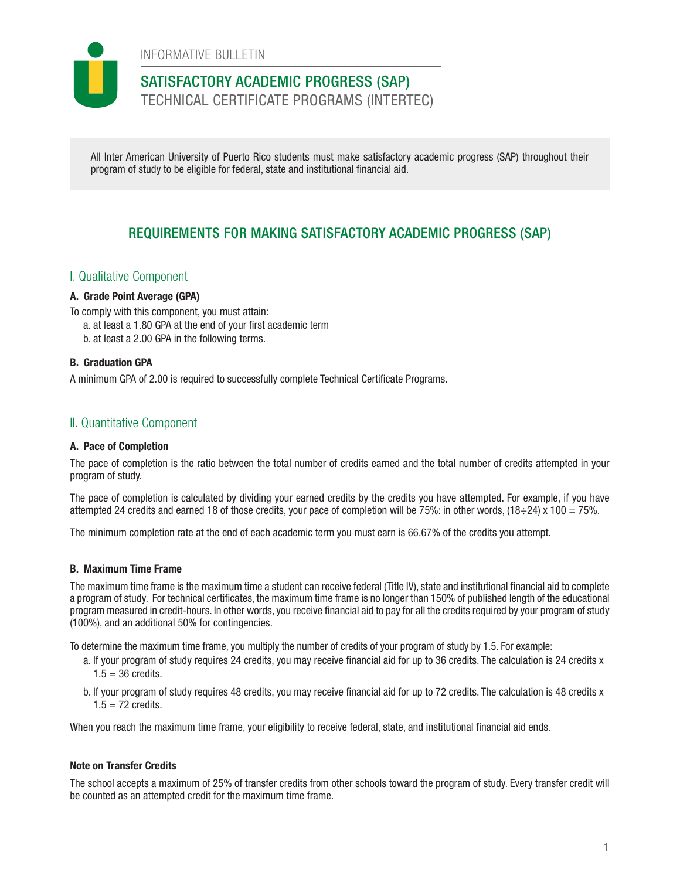INFORMATIVE BULLETIN

# SATISFACTORY ACADEMIC PROGRESS (SAP)

TECHNICAL CERTIFICATE PROGRAMS (INTERTEC)

All Inter American University of Puerto Rico students must make satisfactory academic progress (SAP) throughout their program of study to be eligible for federal, state and institutional financial aid.

# REQUIREMENTS FOR MAKING SATISFACTORY ACADEMIC PROGRESS (SAP)

## I. Qualitative Component

## A. Grade Point Average (GPA)

To comply with this component, you must attain:

- a. at least a 1.80 GPA at the end of your first academic term
- b. at least a 2.00 GPA in the following terms.

#### B. Graduation GPA

A minimum GPA of 2.00 is required to successfully complete Technical Certificate Programs.

## II. Quantitative Component

#### A. Pace of Completion

The pace of completion is the ratio between the total number of credits earned and the total number of credits attempted in your program of study.

The pace of completion is calculated by dividing your earned credits by the credits you have attempted. For example, if you have attempted 24 credits and earned 18 of those credits, your pace of completion will be 75%: in other words,  $(18\div 24) \times 100 = 75\%$ .

The minimum completion rate at the end of each academic term you must earn is 66.67% of the credits you attempt.

#### B. Maximum Time Frame

The maximum time frame is the maximum time a student can receive federal (Title IV), state and institutional financial aid to complete a program of study. For technical certificates, the maximum time frame is no longer than 150% of published length of the educational program measured in credit-hours. In other words, you receive financial aid to pay for all the credits required by your program of study (100%), and an additional 50% for contingencies.

To determine the maximum time frame, you multiply the number of credits of your program of study by 1.5. For example:

- a. If your program of study requires 24 credits, you may receive financial aid for up to 36 credits. The calculation is 24 credits x  $1.5 = 36$  credits.
- b. If your program of study requires 48 credits, you may receive financial aid for up to 72 credits. The calculation is 48 credits x  $1.5 = 72$  credits.

When you reach the maximum time frame, your eligibility to receive federal, state, and institutional financial aid ends.

#### Note on Transfer Credits

The school accepts a maximum of 25% of transfer credits from other schools toward the program of study. Every transfer credit will be counted as an attempted credit for the maximum time frame.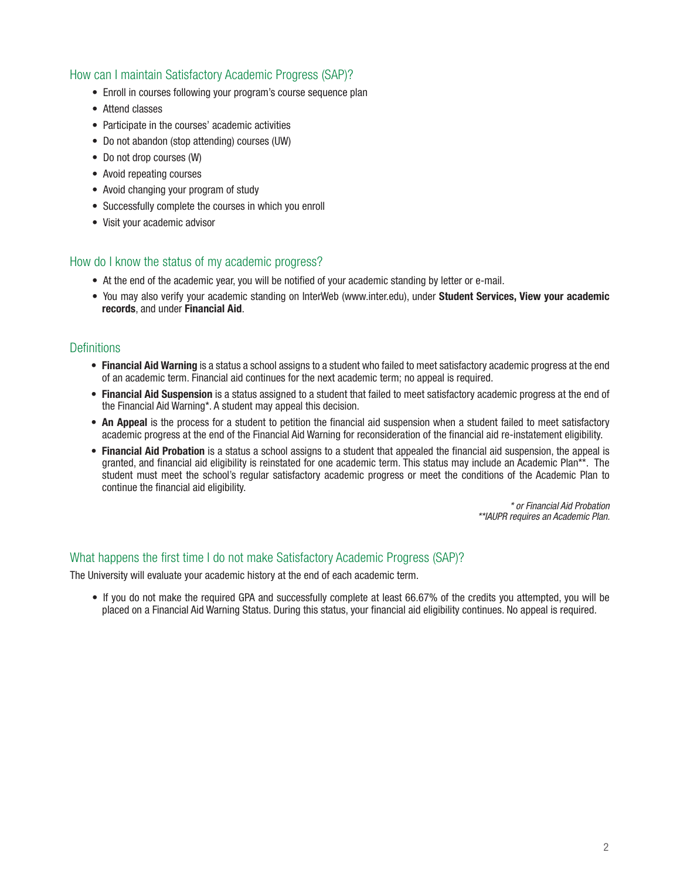# How can I maintain Satisfactory Academic Progress (SAP)?

- Enroll in courses following your program's course sequence plan
- Attend classes
- Participate in the courses' academic activities
- Do not abandon (stop attending) courses (UW)
- Do not drop courses (W)
- Avoid repeating courses
- Avoid changing your program of study
- Successfully complete the courses in which you enroll
- Visit your academic advisor

## How do I know the status of my academic progress?

- At the end of the academic year, you will be notified of your academic standing by letter or e-mail.
- You may also verify your academic standing on InterWeb (www.inter.edu), under Student Services, View your academic records, and under Financial Aid.

## **Definitions**

- Financial Aid Warning is a status a school assigns to a student who failed to meet satisfactory academic progress at the end of an academic term. Financial aid continues for the next academic term; no appeal is required.
- Financial Aid Suspension is a status assigned to a student that failed to meet satisfactory academic progress at the end of the Financial Aid Warning\*. A student may appeal this decision.
- An Appeal is the process for a student to petition the financial aid suspension when a student failed to meet satisfactory academic progress at the end of the Financial Aid Warning for reconsideration of the financial aid re-instatement eligibility.
- Financial Aid Probation is a status a school assigns to a student that appealed the financial aid suspension, the appeal is granted, and financial aid eligibility is reinstated for one academic term. This status may include an Academic Plan\*\*. The student must meet the school's regular satisfactory academic progress or meet the conditions of the Academic Plan to continue the financial aid eligibility.

*\* or Financial Aid Probation \*\*IAUPR requires an Academic Plan.*

#### What happens the first time I do not make Satisfactory Academic Progress (SAP)?

The University will evaluate your academic history at the end of each academic term.

• If you do not make the required GPA and successfully complete at least 66.67% of the credits you attempted, you will be placed on a Financial Aid Warning Status. During this status, your financial aid eligibility continues. No appeal is required.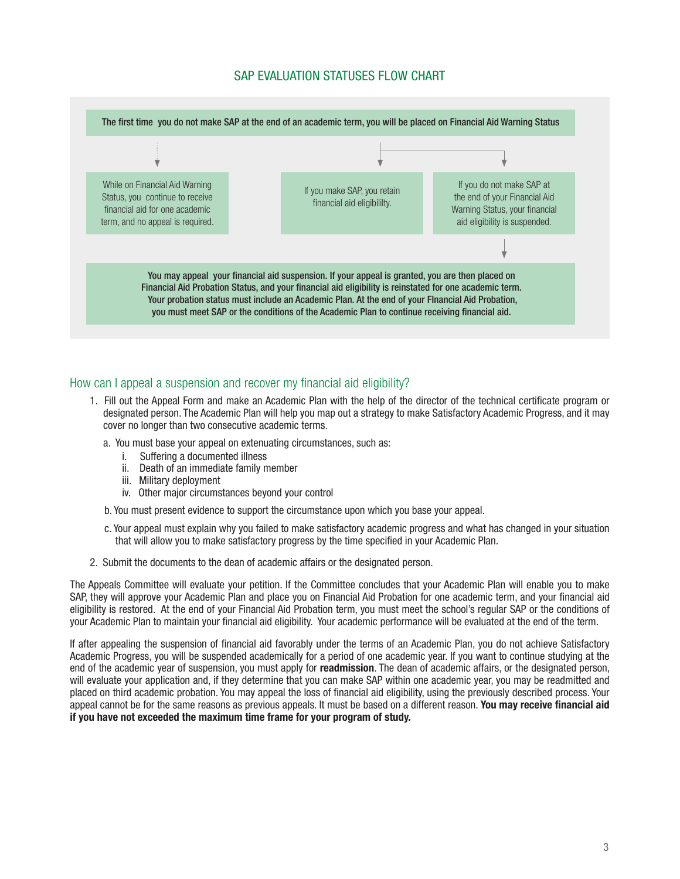# SAP EVALUATION STATUSES FLOW CHART



## How can I appeal a suspension and recover my financial aid eligibility?

- 1. Fill out the Appeal Form and make an Academic Plan with the help of the director of the technical certificate program or designated person. The Academic Plan will help you map out a strategy to make Satisfactory Academic Progress, and it may cover no longer than two consecutive academic terms.
	- a. You must base your appeal on extenuating circumstances, such as:
		- i. Suffering a documented illness
		- ii. Death of an immediate family member
		- iii. Military deployment
		- iv. Other major circumstances beyond your control
	- b. You must present evidence to support the circumstance upon which you base your appeal.
	- c. Your appeal must explain why you failed to make satisfactory academic progress and what has changed in your situation that will allow you to make satisfactory progress by the time specified in your Academic Plan.
- 2. Submit the documents to the dean of academic affairs or the designated person.

The Appeals Committee will evaluate your petition. If the Committee concludes that your Academic Plan will enable you to make SAP, they will approve your Academic Plan and place you on Financial Aid Probation for one academic term, and your financial aid eligibility is restored. At the end of your Financial Aid Probation term, you must meet the school's regular SAP or the conditions of your Academic Plan to maintain your financial aid eligibility. Your academic performance will be evaluated at the end of the term.

If after appealing the suspension of financial aid favorably under the terms of an Academic Plan, you do not achieve Satisfactory Academic Progress, you will be suspended academically for a period of one academic year. If you want to continue studying at the end of the academic year of suspension, you must apply for readmission. The dean of academic affairs, or the designated person, will evaluate your application and, if they determine that you can make SAP within one academic year, you may be readmitted and placed on third academic probation. You may appeal the loss of financial aid eligibility, using the previously described process. Your appeal cannot be for the same reasons as previous appeals. It must be based on a different reason. You may receive financial aid if you have not exceeded the maximum time frame for your program of study.